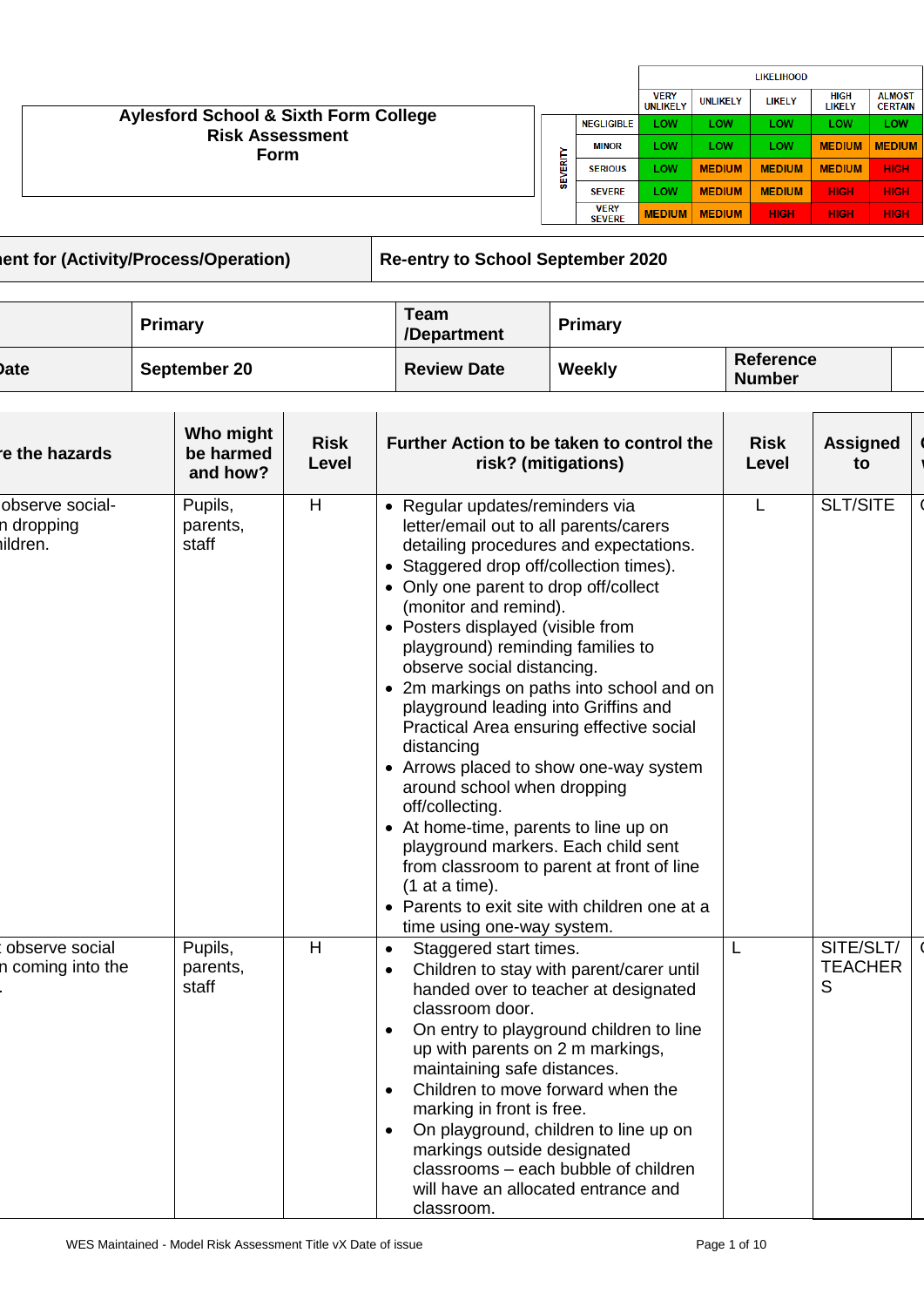|                                                                                           |        |                              |                                |                 | <b>LIKELIHOOD</b> |                              |                                 |
|-------------------------------------------------------------------------------------------|--------|------------------------------|--------------------------------|-----------------|-------------------|------------------------------|---------------------------------|
|                                                                                           |        |                              | <b>VERY</b><br><b>UNLIKELY</b> | <b>UNLIKELY</b> | <b>LIKELY</b>     | <b>HIGH</b><br><b>LIKELY</b> | <b>ALMOST</b><br><b>CERTAIN</b> |
| <b>Aylesford School &amp; Sixth Form College</b><br><b>Risk Assessment</b><br><b>Form</b> | 冨<br>쁪 | <b>NEGLIGIBLE</b>            | LOW                            | LOW             | <b>LOW</b>        | LOW                          | LOW                             |
|                                                                                           |        | <b>MINOR</b>                 | LOW                            | LOW             | <b>LOW</b>        | <b>MEDIUM</b>                | <b>MEDIUM</b>                   |
|                                                                                           |        | <b>SERIOUS</b>               | LOW                            | <b>MEDIUM</b>   | <b>MEDIUM</b>     | <b>MEDIUM</b>                | <b>HIGH</b>                     |
|                                                                                           |        | <b>SEVERE</b>                | LOW                            | <b>MEDIUM</b>   | <b>MEDIUM</b>     | <b>HIGH</b>                  | <b>HIGH</b>                     |
|                                                                                           |        | <b>VERY</b><br><b>SEVERE</b> | <b>MEDIUM</b>                  | <b>MEDIUM</b>   | <b>HIGH</b>       | <b>HIGH</b>                  | <b>HIGH</b>                     |
|                                                                                           |        |                              |                                |                 |                   |                              |                                 |

**Risk Assessment for (Activity/Process/Operation) Re-entry to School September 2020**

|      | Primary      | Team<br>/Department | Primary |                                   |  |
|------|--------------|---------------------|---------|-----------------------------------|--|
| Date | September 20 | <b>Review Date</b>  | Weekly  | <b>Reference</b><br><b>Number</b> |  |

| re the hazards                            | Who might<br>be harmed<br>and how? | <b>Risk</b><br>Level | Further Action to be taken to control the<br>risk? (mitigations)                                                                                                                                                                                                                                                                                                                                                                                                                                                                                                                                                                                                                                                                                                                                                    | <b>Risk</b><br>Level | <b>Assigned</b><br>to            |
|-------------------------------------------|------------------------------------|----------------------|---------------------------------------------------------------------------------------------------------------------------------------------------------------------------------------------------------------------------------------------------------------------------------------------------------------------------------------------------------------------------------------------------------------------------------------------------------------------------------------------------------------------------------------------------------------------------------------------------------------------------------------------------------------------------------------------------------------------------------------------------------------------------------------------------------------------|----------------------|----------------------------------|
| observe social-<br>n dropping<br>iildren. | Pupils,<br>parents,<br>staff       | Н                    | • Regular updates/reminders via<br>letter/email out to all parents/carers<br>detailing procedures and expectations.<br>• Staggered drop off/collection times).<br>• Only one parent to drop off/collect<br>(monitor and remind).<br>• Posters displayed (visible from<br>playground) reminding families to<br>observe social distancing.<br>• 2m markings on paths into school and on<br>playground leading into Griffins and<br>Practical Area ensuring effective social<br>distancing<br>• Arrows placed to show one-way system<br>around school when dropping<br>off/collecting.<br>• At home-time, parents to line up on<br>playground markers. Each child sent<br>from classroom to parent at front of line<br>$(1$ at a time).<br>• Parents to exit site with children one at a<br>time using one-way system. | L                    | <b>SLT/SITE</b>                  |
| observe social<br>n coming into the       | Pupils,<br>parents,<br>staff       | H                    | Staggered start times.<br>$\bullet$<br>Children to stay with parent/carer until<br>$\bullet$<br>handed over to teacher at designated<br>classroom door.<br>On entry to playground children to line<br>$\bullet$<br>up with parents on 2 m markings,<br>maintaining safe distances.<br>Children to move forward when the<br>marking in front is free.<br>On playground, children to line up on<br>$\bullet$<br>markings outside designated<br>classrooms - each bubble of children<br>will have an allocated entrance and<br>classroom.                                                                                                                                                                                                                                                                              | L                    | SITE/SLT/<br><b>TEACHER</b><br>S |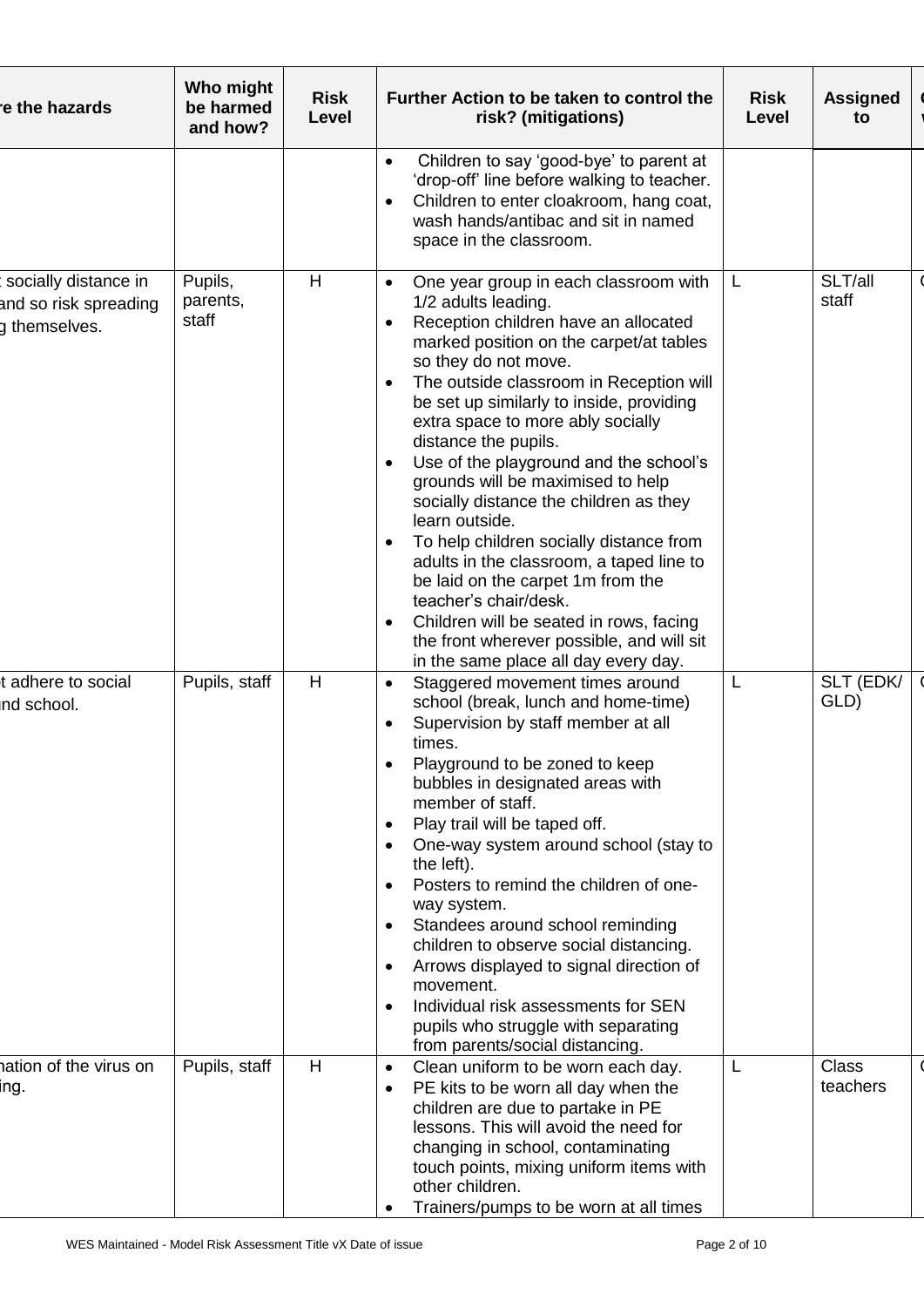| re the hazards                                                 | Who might<br>be harmed<br>and how? | <b>Risk</b><br>Level | Further Action to be taken to control the<br>risk? (mitigations)                                                                                                                                                                                                                                                                                                                                                                                                                                                                                                                                                                                                                                                                                                                                                | <b>Risk</b><br>Level | <b>Assigned</b><br>to    |
|----------------------------------------------------------------|------------------------------------|----------------------|-----------------------------------------------------------------------------------------------------------------------------------------------------------------------------------------------------------------------------------------------------------------------------------------------------------------------------------------------------------------------------------------------------------------------------------------------------------------------------------------------------------------------------------------------------------------------------------------------------------------------------------------------------------------------------------------------------------------------------------------------------------------------------------------------------------------|----------------------|--------------------------|
|                                                                |                                    |                      | Children to say 'good-bye' to parent at<br>$\bullet$<br>'drop-off' line before walking to teacher.<br>Children to enter cloakroom, hang coat,<br>$\bullet$<br>wash hands/antibac and sit in named<br>space in the classroom.                                                                                                                                                                                                                                                                                                                                                                                                                                                                                                                                                                                    |                      |                          |
| socially distance in<br>and so risk spreading<br>g themselves. | Pupils,<br>parents,<br>staff       | H                    | One year group in each classroom with<br>$\bullet$<br>1/2 adults leading.<br>Reception children have an allocated<br>$\bullet$<br>marked position on the carpet/at tables<br>so they do not move.<br>The outside classroom in Reception will<br>$\bullet$<br>be set up similarly to inside, providing<br>extra space to more ably socially<br>distance the pupils.<br>Use of the playground and the school's<br>grounds will be maximised to help<br>socially distance the children as they<br>learn outside.<br>To help children socially distance from<br>adults in the classroom, a taped line to<br>be laid on the carpet 1m from the<br>teacher's chair/desk.<br>Children will be seated in rows, facing<br>$\bullet$<br>the front wherever possible, and will sit<br>in the same place all day every day. | L.                   | SLT/all<br>staff         |
| adhere to social<br>nd school.                                 | Pupils, staff                      | H                    | Staggered movement times around<br>$\bullet$<br>school (break, lunch and home-time)<br>Supervision by staff member at all<br>$\bullet$<br>times.<br>Playground to be zoned to keep<br>bubbles in designated areas with<br>member of staff.<br>Play trail will be taped off.<br>$\bullet$<br>One-way system around school (stay to<br>$\bullet$<br>the left).<br>Posters to remind the children of one-<br>$\bullet$<br>way system.<br>Standees around school reminding<br>$\bullet$<br>children to observe social distancing.<br>Arrows displayed to signal direction of<br>$\bullet$<br>movement.<br>Individual risk assessments for SEN<br>$\bullet$<br>pupils who struggle with separating<br>from parents/social distancing.                                                                                | L                    | SLT (EDK/<br>GLD)        |
| nation of the virus on<br>ing.                                 | Pupils, staff                      | H                    | Clean uniform to be worn each day.<br>$\bullet$<br>PE kits to be worn all day when the<br>$\bullet$<br>children are due to partake in PE<br>lessons. This will avoid the need for<br>changing in school, contaminating<br>touch points, mixing uniform items with<br>other children.<br>Trainers/pumps to be worn at all times                                                                                                                                                                                                                                                                                                                                                                                                                                                                                  |                      | <b>Class</b><br>teachers |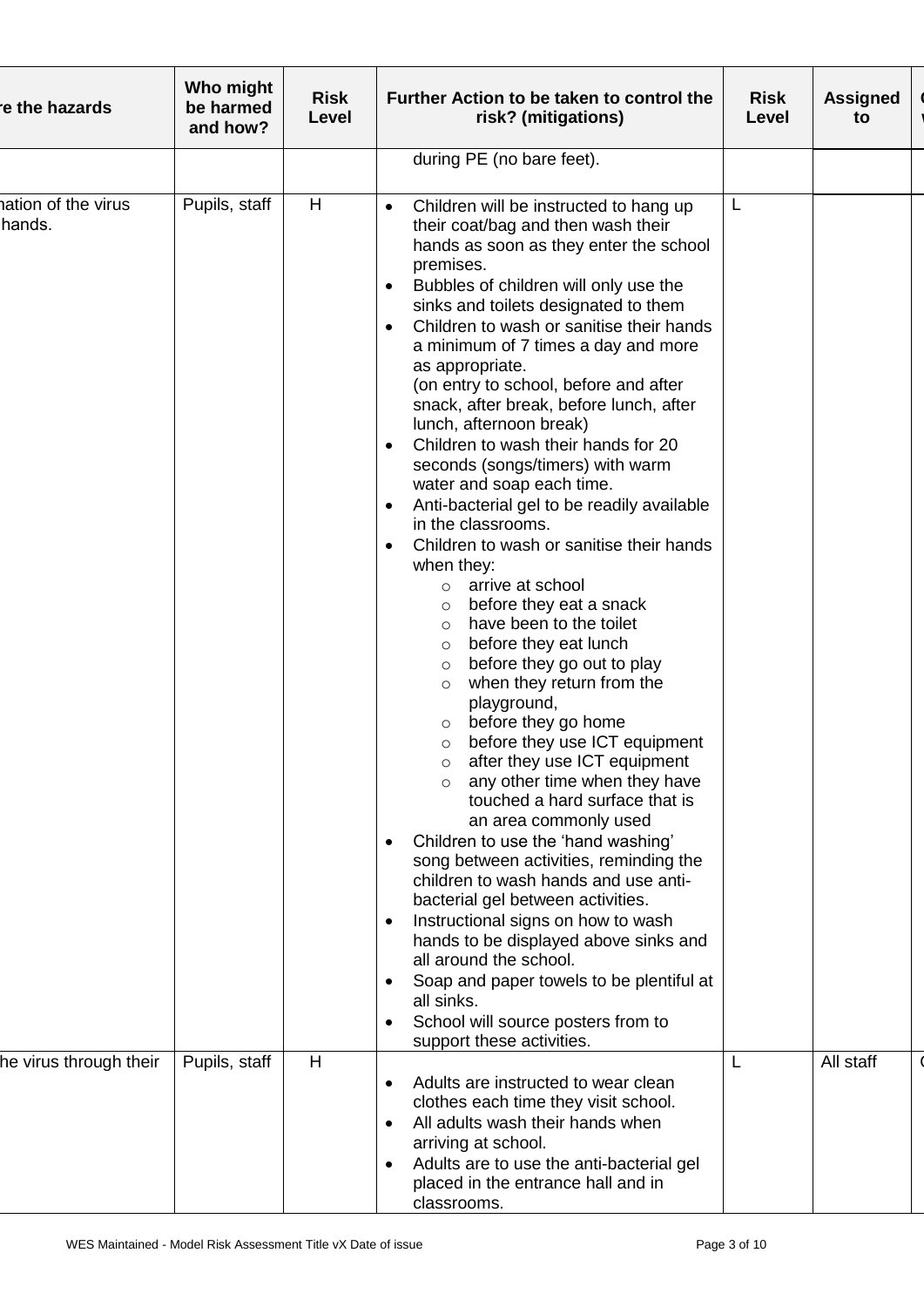| re the hazards               | Who might<br>be harmed<br>and how? | <b>Risk</b><br>Level | Further Action to be taken to control the<br>risk? (mitigations)                                                                                                                                                                                                                                                                                                                                                                                                                                                                                                                                                                                                                                                                                                                                                                                                                                                                                                                                                                                                                                                                                                                                                                                                                                                                                                                                                                                                                                                                                                                                                                                                    | <b>Risk</b><br>Level | <b>Assigned</b><br>to |
|------------------------------|------------------------------------|----------------------|---------------------------------------------------------------------------------------------------------------------------------------------------------------------------------------------------------------------------------------------------------------------------------------------------------------------------------------------------------------------------------------------------------------------------------------------------------------------------------------------------------------------------------------------------------------------------------------------------------------------------------------------------------------------------------------------------------------------------------------------------------------------------------------------------------------------------------------------------------------------------------------------------------------------------------------------------------------------------------------------------------------------------------------------------------------------------------------------------------------------------------------------------------------------------------------------------------------------------------------------------------------------------------------------------------------------------------------------------------------------------------------------------------------------------------------------------------------------------------------------------------------------------------------------------------------------------------------------------------------------------------------------------------------------|----------------------|-----------------------|
|                              |                                    |                      | during PE (no bare feet).                                                                                                                                                                                                                                                                                                                                                                                                                                                                                                                                                                                                                                                                                                                                                                                                                                                                                                                                                                                                                                                                                                                                                                                                                                                                                                                                                                                                                                                                                                                                                                                                                                           |                      |                       |
| ation of the virus<br>hands. | Pupils, staff                      | H                    | Children will be instructed to hang up<br>$\bullet$<br>their coat/bag and then wash their<br>hands as soon as they enter the school<br>premises.<br>Bubbles of children will only use the<br>sinks and toilets designated to them<br>Children to wash or sanitise their hands<br>$\bullet$<br>a minimum of 7 times a day and more<br>as appropriate.<br>(on entry to school, before and after<br>snack, after break, before lunch, after<br>lunch, afternoon break)<br>Children to wash their hands for 20<br>$\bullet$<br>seconds (songs/timers) with warm<br>water and soap each time.<br>Anti-bacterial gel to be readily available<br>$\bullet$<br>in the classrooms.<br>Children to wash or sanitise their hands<br>when they:<br>arrive at school<br>$\circ$<br>before they eat a snack<br>$\circ$<br>have been to the toilet<br>$\circ$<br>before they eat lunch<br>$\circ$<br>before they go out to play<br>$\circ$<br>when they return from the<br>$\circ$<br>playground,<br>before they go home<br>$\circ$<br>before they use ICT equipment<br>O<br>after they use ICT equipment<br>$\circ$<br>any other time when they have<br>$\circ$<br>touched a hard surface that is<br>an area commonly used<br>Children to use the 'hand washing'<br>$\bullet$<br>song between activities, reminding the<br>children to wash hands and use anti-<br>bacterial gel between activities.<br>Instructional signs on how to wash<br>$\bullet$<br>hands to be displayed above sinks and<br>all around the school.<br>Soap and paper towels to be plentiful at<br>$\bullet$<br>all sinks.<br>School will source posters from to<br>$\bullet$<br>support these activities. | L                    |                       |
| he virus through their       | Pupils, staff                      | H                    | Adults are instructed to wear clean<br>$\bullet$                                                                                                                                                                                                                                                                                                                                                                                                                                                                                                                                                                                                                                                                                                                                                                                                                                                                                                                                                                                                                                                                                                                                                                                                                                                                                                                                                                                                                                                                                                                                                                                                                    |                      | All staff             |
|                              |                                    |                      | clothes each time they visit school.<br>All adults wash their hands when<br>$\bullet$<br>arriving at school.                                                                                                                                                                                                                                                                                                                                                                                                                                                                                                                                                                                                                                                                                                                                                                                                                                                                                                                                                                                                                                                                                                                                                                                                                                                                                                                                                                                                                                                                                                                                                        |                      |                       |
|                              |                                    |                      | Adults are to use the anti-bacterial gel<br>$\bullet$<br>placed in the entrance hall and in<br>classrooms.                                                                                                                                                                                                                                                                                                                                                                                                                                                                                                                                                                                                                                                                                                                                                                                                                                                                                                                                                                                                                                                                                                                                                                                                                                                                                                                                                                                                                                                                                                                                                          |                      |                       |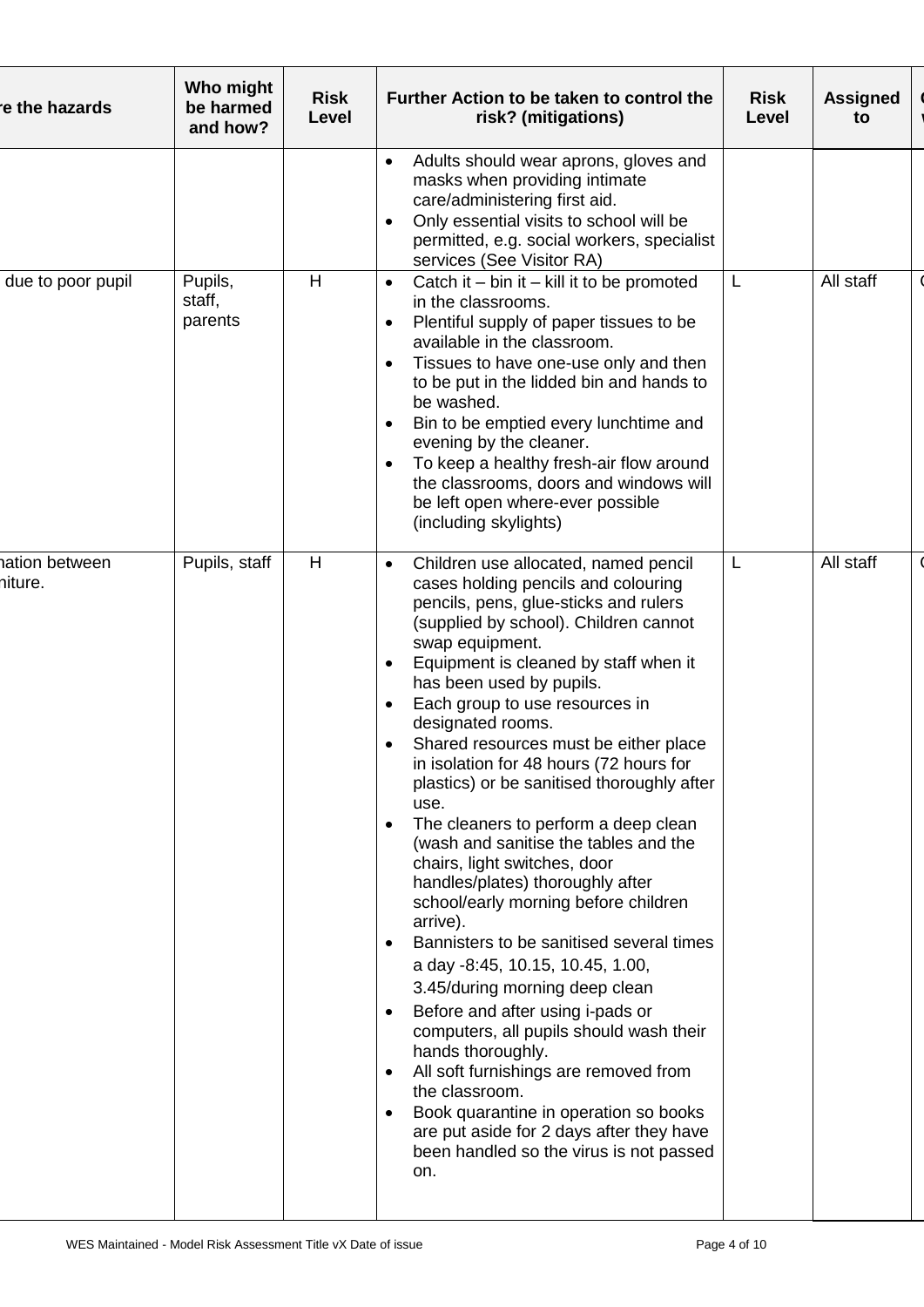| re the hazards            | Who might<br>be harmed<br>and how? | <b>Risk</b><br>Level | Further Action to be taken to control the<br>risk? (mitigations)                                                                                                                                                                                                                                                                                                                                                                                                                                                                                                                                                                                                                                                                                                                                                                                                                                                                                                                                                                                                                                                                                              | <b>Risk</b><br>Level | <b>Assigned</b><br>to |
|---------------------------|------------------------------------|----------------------|---------------------------------------------------------------------------------------------------------------------------------------------------------------------------------------------------------------------------------------------------------------------------------------------------------------------------------------------------------------------------------------------------------------------------------------------------------------------------------------------------------------------------------------------------------------------------------------------------------------------------------------------------------------------------------------------------------------------------------------------------------------------------------------------------------------------------------------------------------------------------------------------------------------------------------------------------------------------------------------------------------------------------------------------------------------------------------------------------------------------------------------------------------------|----------------------|-----------------------|
|                           |                                    |                      | Adults should wear aprons, gloves and<br>$\bullet$<br>masks when providing intimate<br>care/administering first aid.<br>Only essential visits to school will be<br>$\bullet$<br>permitted, e.g. social workers, specialist<br>services (See Visitor RA)                                                                                                                                                                                                                                                                                                                                                                                                                                                                                                                                                                                                                                                                                                                                                                                                                                                                                                       |                      |                       |
| due to poor pupil         | Pupils,<br>staff,<br>parents       | H                    | Catch it $-$ bin it $-$ kill it to be promoted<br>$\bullet$<br>in the classrooms.<br>Plentiful supply of paper tissues to be<br>$\bullet$<br>available in the classroom.<br>Tissues to have one-use only and then<br>$\bullet$<br>to be put in the lidded bin and hands to<br>be washed.<br>Bin to be emptied every lunchtime and<br>evening by the cleaner.<br>To keep a healthy fresh-air flow around<br>$\bullet$<br>the classrooms, doors and windows will<br>be left open where-ever possible<br>(including skylights)                                                                                                                                                                                                                                                                                                                                                                                                                                                                                                                                                                                                                                   | L                    | All staff             |
| hation between<br>hiture. | Pupils, staff                      | H                    | Children use allocated, named pencil<br>$\bullet$<br>cases holding pencils and colouring<br>pencils, pens, glue-sticks and rulers<br>(supplied by school). Children cannot<br>swap equipment.<br>Equipment is cleaned by staff when it<br>has been used by pupils.<br>Each group to use resources in<br>$\bullet$<br>designated rooms.<br>Shared resources must be either place<br>in isolation for 48 hours (72 hours for<br>plastics) or be sanitised thoroughly after<br>use.<br>The cleaners to perform a deep clean<br>$\bullet$<br>(wash and sanitise the tables and the<br>chairs, light switches, door<br>handles/plates) thoroughly after<br>school/early morning before children<br>arrive).<br>Bannisters to be sanitised several times<br>a day -8:45, 10.15, 10.45, 1.00,<br>3.45/during morning deep clean<br>Before and after using i-pads or<br>$\bullet$<br>computers, all pupils should wash their<br>hands thoroughly.<br>All soft furnishings are removed from<br>$\bullet$<br>the classroom.<br>Book quarantine in operation so books<br>٠<br>are put aside for 2 days after they have<br>been handled so the virus is not passed<br>on. | L                    | All staff             |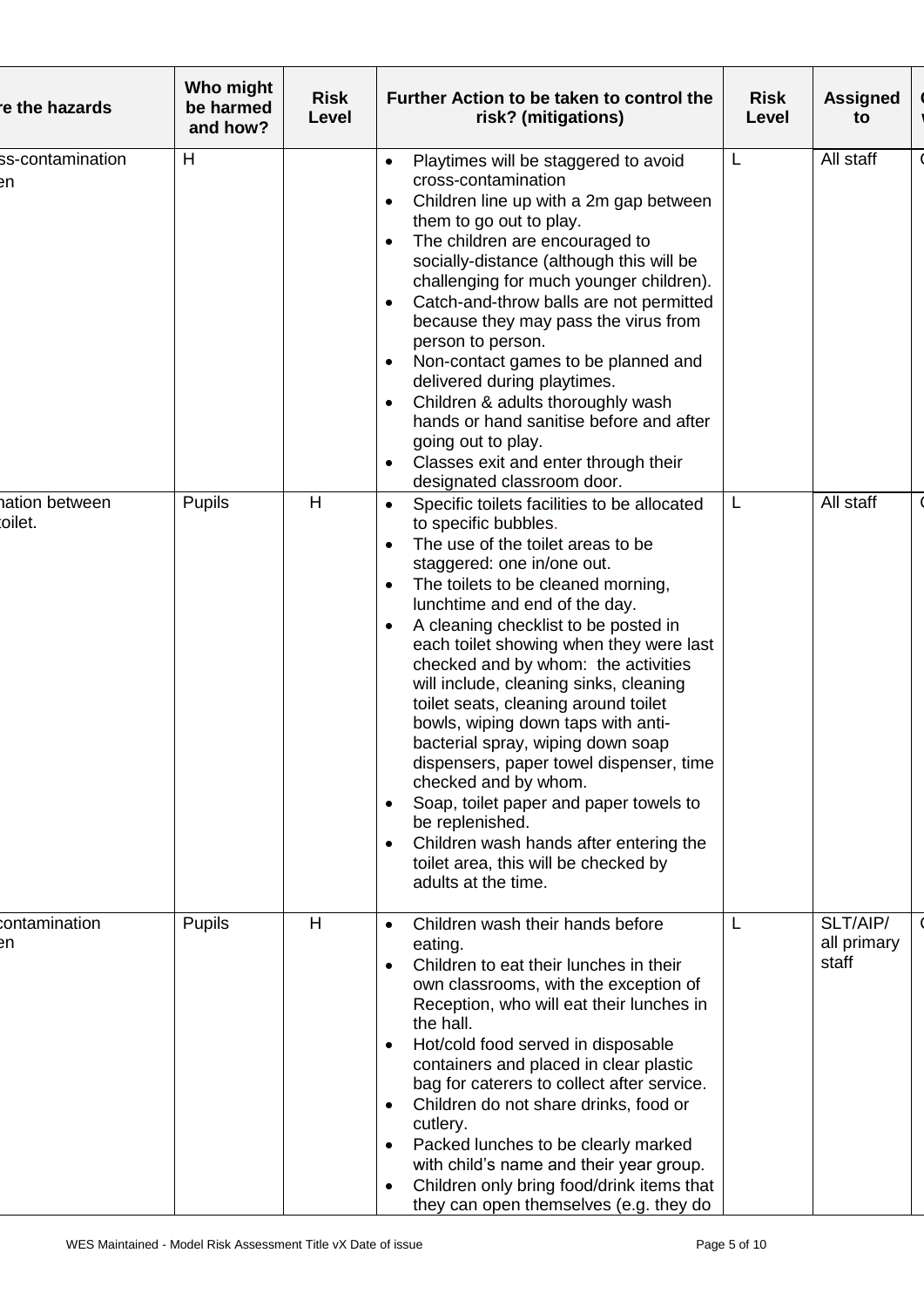| re the hazards           | Who might<br>be harmed<br>and how? | <b>Risk</b><br>Level | Further Action to be taken to control the<br>risk? (mitigations)                                                                                                                                                                                                                                                                                                                                                                                                                                                                                                                                                                                                                                                                                                                                               | <b>Risk</b><br>Level | <b>Assigned</b><br>to            |
|--------------------------|------------------------------------|----------------------|----------------------------------------------------------------------------------------------------------------------------------------------------------------------------------------------------------------------------------------------------------------------------------------------------------------------------------------------------------------------------------------------------------------------------------------------------------------------------------------------------------------------------------------------------------------------------------------------------------------------------------------------------------------------------------------------------------------------------------------------------------------------------------------------------------------|----------------------|----------------------------------|
| ss-contamination<br>₽n   | н                                  |                      | Playtimes will be staggered to avoid<br>$\bullet$<br>cross-contamination<br>Children line up with a 2m gap between<br>٠<br>them to go out to play.<br>The children are encouraged to<br>$\bullet$<br>socially-distance (although this will be<br>challenging for much younger children).<br>Catch-and-throw balls are not permitted<br>because they may pass the virus from<br>person to person.<br>Non-contact games to be planned and<br>$\bullet$<br>delivered during playtimes.<br>Children & adults thoroughly wash<br>$\bullet$<br>hands or hand sanitise before and after<br>going out to play.<br>Classes exit and enter through their<br>$\bullet$<br>designated classroom door.                                                                                                                      | L                    | All staff                        |
| nation between<br>oilet. | <b>Pupils</b>                      | H                    | Specific toilets facilities to be allocated<br>$\bullet$<br>to specific bubbles.<br>The use of the toilet areas to be<br>$\bullet$<br>staggered: one in/one out.<br>The toilets to be cleaned morning,<br>$\bullet$<br>lunchtime and end of the day.<br>A cleaning checklist to be posted in<br>each toilet showing when they were last<br>checked and by whom: the activities<br>will include, cleaning sinks, cleaning<br>toilet seats, cleaning around toilet<br>bowls, wiping down taps with anti-<br>bacterial spray, wiping down soap<br>dispensers, paper towel dispenser, time<br>checked and by whom.<br>Soap, toilet paper and paper towels to<br>$\bullet$<br>be replenished.<br>Children wash hands after entering the<br>$\bullet$<br>toilet area, this will be checked by<br>adults at the time. | L                    | All staff                        |
| contamination<br>en      | <b>Pupils</b>                      | H                    | Children wash their hands before<br>$\bullet$<br>eating.<br>Children to eat their lunches in their<br>$\bullet$<br>own classrooms, with the exception of<br>Reception, who will eat their lunches in<br>the hall.<br>Hot/cold food served in disposable<br>$\bullet$<br>containers and placed in clear plastic<br>bag for caterers to collect after service.<br>Children do not share drinks, food or<br>$\bullet$<br>cutlery.<br>Packed lunches to be clearly marked<br>$\bullet$<br>with child's name and their year group.<br>Children only bring food/drink items that<br>$\bullet$<br>they can open themselves (e.g. they do                                                                                                                                                                              |                      | SLT/AIP/<br>all primary<br>staff |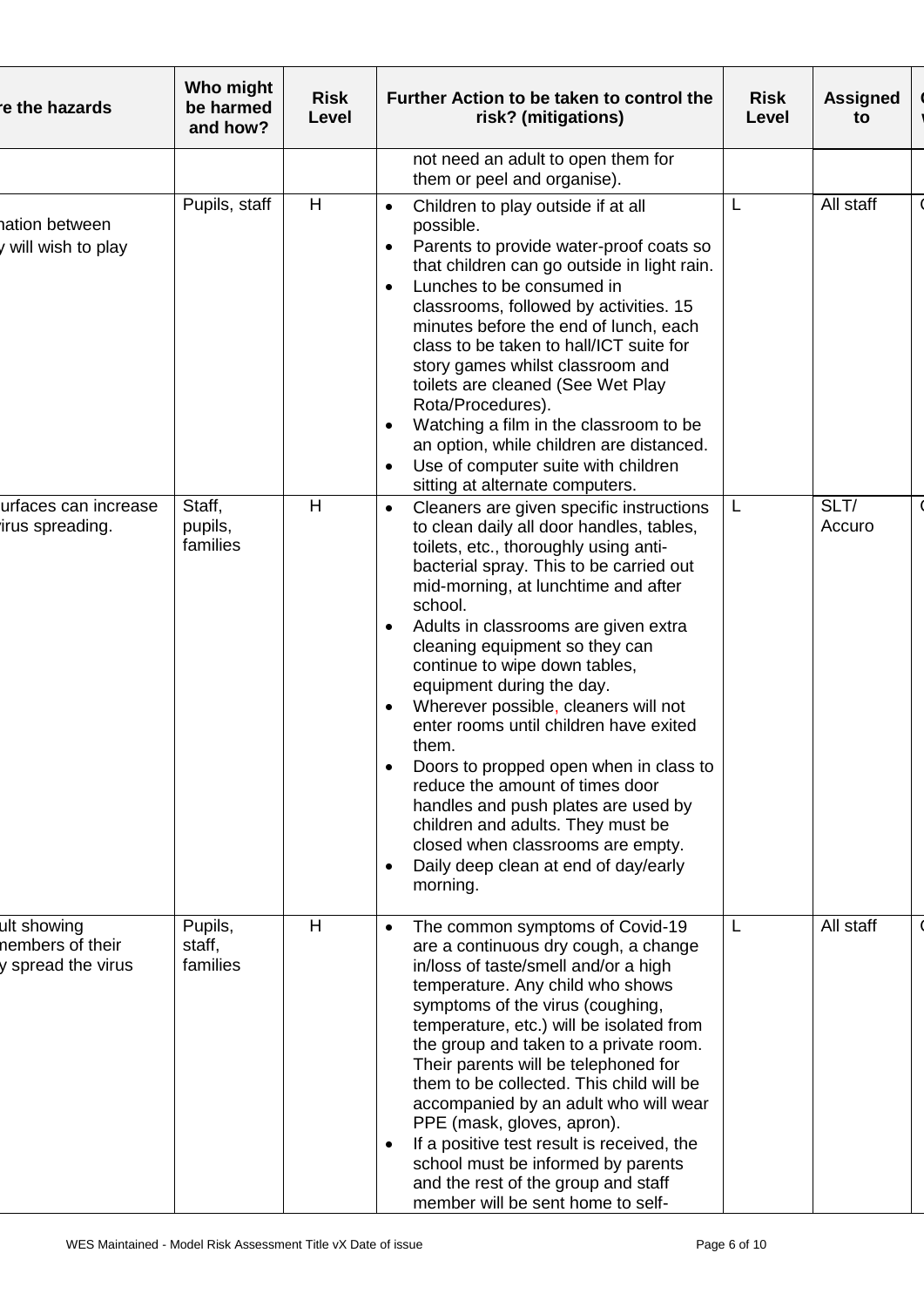| re the hazards                                        | Who might<br>be harmed<br>and how? | <b>Risk</b><br>Level | Further Action to be taken to control the<br>risk? (mitigations)                                                                                                                                                                                                                                                                                                                                                                                                                                                                                                                                                                                                                                                                                       | <b>Risk</b><br>Level | <b>Assigned</b><br>to |
|-------------------------------------------------------|------------------------------------|----------------------|--------------------------------------------------------------------------------------------------------------------------------------------------------------------------------------------------------------------------------------------------------------------------------------------------------------------------------------------------------------------------------------------------------------------------------------------------------------------------------------------------------------------------------------------------------------------------------------------------------------------------------------------------------------------------------------------------------------------------------------------------------|----------------------|-----------------------|
|                                                       |                                    |                      | not need an adult to open them for<br>them or peel and organise).                                                                                                                                                                                                                                                                                                                                                                                                                                                                                                                                                                                                                                                                                      |                      |                       |
| hation between<br>y will wish to play                 | Pupils, staff                      | H                    | Children to play outside if at all<br>$\bullet$<br>possible.<br>Parents to provide water-proof coats so<br>$\bullet$<br>that children can go outside in light rain.<br>Lunches to be consumed in<br>$\bullet$<br>classrooms, followed by activities. 15<br>minutes before the end of lunch, each<br>class to be taken to hall/ICT suite for<br>story games whilst classroom and<br>toilets are cleaned (See Wet Play<br>Rota/Procedures).<br>Watching a film in the classroom to be<br>an option, while children are distanced.<br>Use of computer suite with children<br>$\bullet$<br>sitting at alternate computers.                                                                                                                                 |                      | All staff             |
| urfaces can increase<br>irus spreading.               | Staff,<br>pupils,<br>families      | H                    | Cleaners are given specific instructions<br>$\bullet$<br>to clean daily all door handles, tables,<br>toilets, etc., thoroughly using anti-<br>bacterial spray. This to be carried out<br>mid-morning, at lunchtime and after<br>school.<br>Adults in classrooms are given extra<br>cleaning equipment so they can<br>continue to wipe down tables,<br>equipment during the day.<br>Wherever possible, cleaners will not<br>$\bullet$<br>enter rooms until children have exited<br>them.<br>Doors to propped open when in class to<br>reduce the amount of times door<br>handles and push plates are used by<br>children and adults. They must be<br>closed when classrooms are empty.<br>Daily deep clean at end of day/early<br>$\bullet$<br>morning. | L.                   | SLT/<br>Accuro        |
| ult showing<br>nembers of their<br>y spread the virus | Pupils,<br>staff,<br>families      | H                    | The common symptoms of Covid-19<br>$\bullet$<br>are a continuous dry cough, a change<br>in/loss of taste/smell and/or a high<br>temperature. Any child who shows<br>symptoms of the virus (coughing,<br>temperature, etc.) will be isolated from<br>the group and taken to a private room.<br>Their parents will be telephoned for<br>them to be collected. This child will be<br>accompanied by an adult who will wear<br>PPE (mask, gloves, apron).<br>If a positive test result is received, the<br>$\bullet$<br>school must be informed by parents<br>and the rest of the group and staff<br>member will be sent home to self-                                                                                                                     | L.                   | All staff             |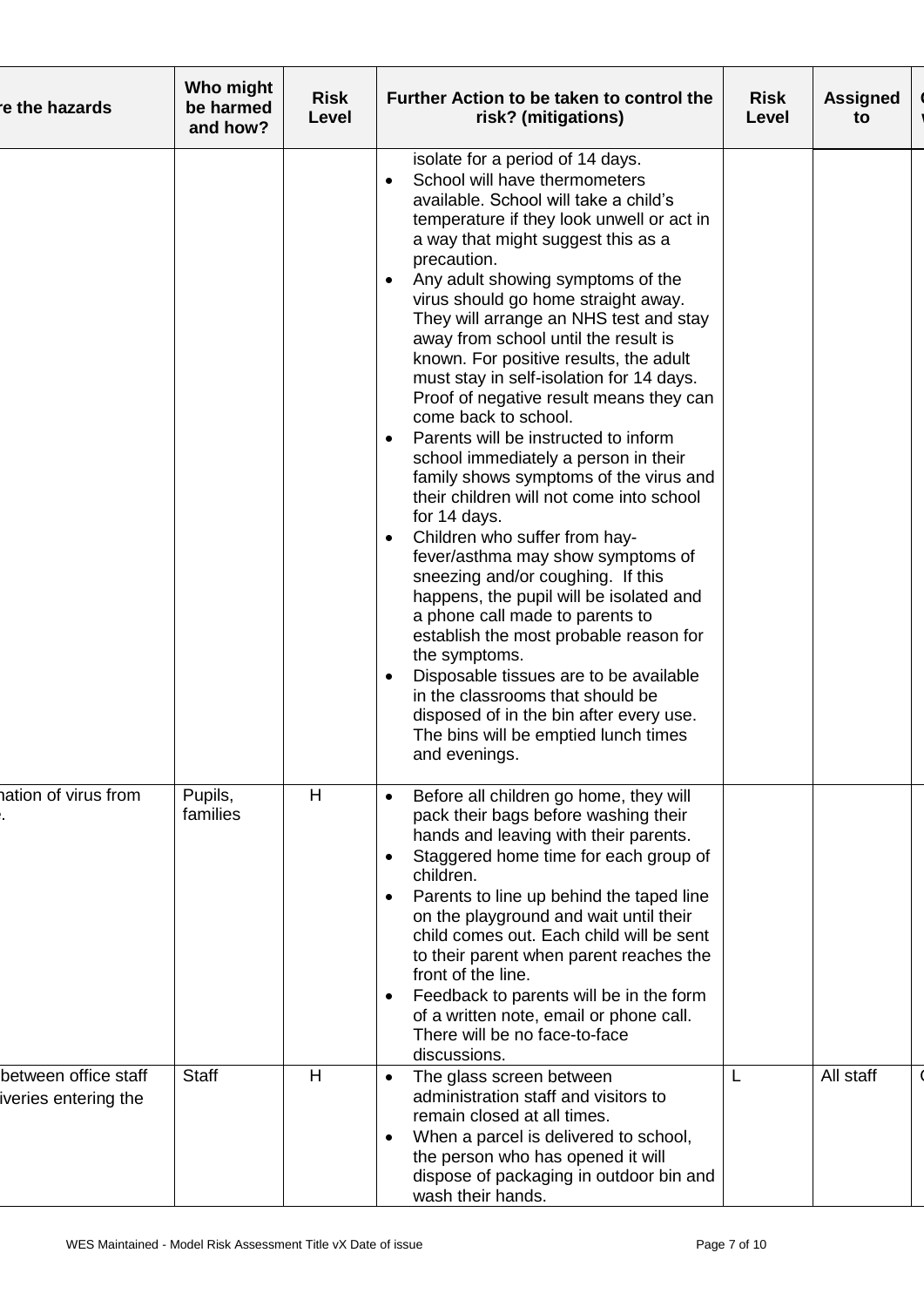| re the hazards                               | Who might<br>be harmed<br>and how? | <b>Risk</b><br>Level | Further Action to be taken to control the<br>risk? (mitigations)                                                                                                                                                                                                                                                                                                                                                                                                                                                                                                                                                                                                                                                                                                                                                                                                                                                                                                                                                                                                                                                                                                                                                    | <b>Risk</b><br>Level | <b>Assigned</b><br>to |
|----------------------------------------------|------------------------------------|----------------------|---------------------------------------------------------------------------------------------------------------------------------------------------------------------------------------------------------------------------------------------------------------------------------------------------------------------------------------------------------------------------------------------------------------------------------------------------------------------------------------------------------------------------------------------------------------------------------------------------------------------------------------------------------------------------------------------------------------------------------------------------------------------------------------------------------------------------------------------------------------------------------------------------------------------------------------------------------------------------------------------------------------------------------------------------------------------------------------------------------------------------------------------------------------------------------------------------------------------|----------------------|-----------------------|
|                                              |                                    |                      | isolate for a period of 14 days.<br>School will have thermometers<br>$\bullet$<br>available. School will take a child's<br>temperature if they look unwell or act in<br>a way that might suggest this as a<br>precaution.<br>Any adult showing symptoms of the<br>$\bullet$<br>virus should go home straight away.<br>They will arrange an NHS test and stay<br>away from school until the result is<br>known. For positive results, the adult<br>must stay in self-isolation for 14 days.<br>Proof of negative result means they can<br>come back to school.<br>Parents will be instructed to inform<br>$\bullet$<br>school immediately a person in their<br>family shows symptoms of the virus and<br>their children will not come into school<br>for 14 days.<br>Children who suffer from hay-<br>$\bullet$<br>fever/asthma may show symptoms of<br>sneezing and/or coughing. If this<br>happens, the pupil will be isolated and<br>a phone call made to parents to<br>establish the most probable reason for<br>the symptoms.<br>Disposable tissues are to be available<br>in the classrooms that should be<br>disposed of in the bin after every use.<br>The bins will be emptied lunch times<br>and evenings. |                      |                       |
| hation of virus from                         | Pupils,<br>families                | H                    | Before all children go home, they will<br>$\bullet$<br>pack their bags before washing their<br>hands and leaving with their parents.<br>Staggered home time for each group of<br>$\bullet$<br>children.<br>Parents to line up behind the taped line<br>on the playground and wait until their<br>child comes out. Each child will be sent<br>to their parent when parent reaches the<br>front of the line.<br>Feedback to parents will be in the form<br>$\bullet$<br>of a written note, email or phone call.<br>There will be no face-to-face<br>discussions.                                                                                                                                                                                                                                                                                                                                                                                                                                                                                                                                                                                                                                                      |                      |                       |
| between office staff<br>iveries entering the | <b>Staff</b>                       | H                    | The glass screen between<br>$\bullet$<br>administration staff and visitors to<br>remain closed at all times.<br>When a parcel is delivered to school,<br>$\bullet$<br>the person who has opened it will<br>dispose of packaging in outdoor bin and<br>wash their hands.                                                                                                                                                                                                                                                                                                                                                                                                                                                                                                                                                                                                                                                                                                                                                                                                                                                                                                                                             |                      | All staff             |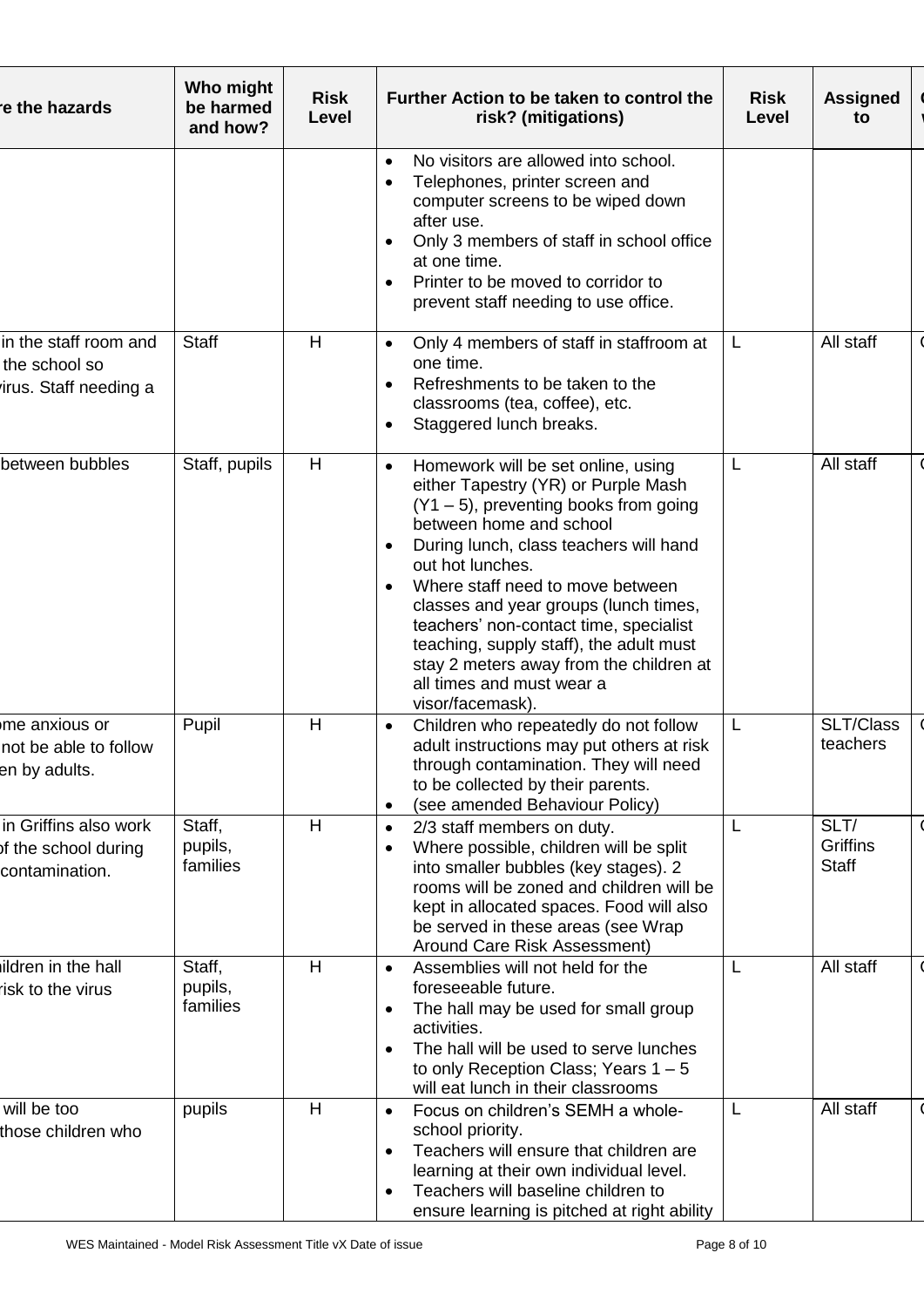| re the hazards                                                  | Who might<br>be harmed<br>and how? | <b>Risk</b><br>Level | Further Action to be taken to control the<br>risk? (mitigations)                                                                                                                                                                                                                                                                                                                                                                                                                                       | <b>Risk</b><br>Level | <b>Assigned</b><br>to                   |
|-----------------------------------------------------------------|------------------------------------|----------------------|--------------------------------------------------------------------------------------------------------------------------------------------------------------------------------------------------------------------------------------------------------------------------------------------------------------------------------------------------------------------------------------------------------------------------------------------------------------------------------------------------------|----------------------|-----------------------------------------|
|                                                                 |                                    |                      | No visitors are allowed into school.<br>$\bullet$<br>Telephones, printer screen and<br>$\bullet$<br>computer screens to be wiped down<br>after use.<br>Only 3 members of staff in school office<br>$\bullet$<br>at one time.<br>Printer to be moved to corridor to<br>$\bullet$<br>prevent staff needing to use office.                                                                                                                                                                                |                      |                                         |
| in the staff room and<br>the school so<br>irus. Staff needing a | <b>Staff</b>                       | H                    | Only 4 members of staff in staffroom at<br>$\bullet$<br>one time.<br>Refreshments to be taken to the<br>$\bullet$<br>classrooms (tea, coffee), etc.<br>Staggered lunch breaks.<br>$\bullet$                                                                                                                                                                                                                                                                                                            |                      | All staff                               |
| between bubbles                                                 | Staff, pupils                      | H                    | Homework will be set online, using<br>$\bullet$<br>either Tapestry (YR) or Purple Mash<br>$(Y1 - 5)$ , preventing books from going<br>between home and school<br>During lunch, class teachers will hand<br>out hot lunches.<br>Where staff need to move between<br>$\bullet$<br>classes and year groups (lunch times,<br>teachers' non-contact time, specialist<br>teaching, supply staff), the adult must<br>stay 2 meters away from the children at<br>all times and must wear a<br>visor/facemask). | L                    | All staff                               |
| me anxious or<br>not be able to follow<br>en by adults.         | Pupil                              | H                    | Children who repeatedly do not follow<br>$\bullet$<br>adult instructions may put others at risk<br>through contamination. They will need<br>to be collected by their parents.<br>(see amended Behaviour Policy)<br>$\bullet$                                                                                                                                                                                                                                                                           | L                    | SLT/Class<br>teachers                   |
| in Griffins also work<br>of the school during<br>contamination. | Staff,<br>pupils,<br>families      | H                    | 2/3 staff members on duty.<br>$\bullet$<br>Where possible, children will be split<br>$\bullet$<br>into smaller bubbles (key stages). 2<br>rooms will be zoned and children will be<br>kept in allocated spaces. Food will also<br>be served in these areas (see Wrap<br>Around Care Risk Assessment)                                                                                                                                                                                                   |                      | SLT/<br><b>Griffins</b><br><b>Staff</b> |
| ildren in the hall<br>risk to the virus                         | Staff,<br>pupils,<br>families      | H                    | Assemblies will not held for the<br>$\bullet$<br>foreseeable future.<br>The hall may be used for small group<br>$\bullet$<br>activities.<br>The hall will be used to serve lunches<br>to only Reception Class; Years $1 - 5$<br>will eat lunch in their classrooms                                                                                                                                                                                                                                     |                      | All staff                               |
| will be too<br>those children who                               | pupils                             | H                    | Focus on children's SEMH a whole-<br>$\bullet$<br>school priority.<br>Teachers will ensure that children are<br>$\bullet$<br>learning at their own individual level.<br>Teachers will baseline children to<br>$\bullet$<br>ensure learning is pitched at right ability                                                                                                                                                                                                                                 | L                    | All staff                               |